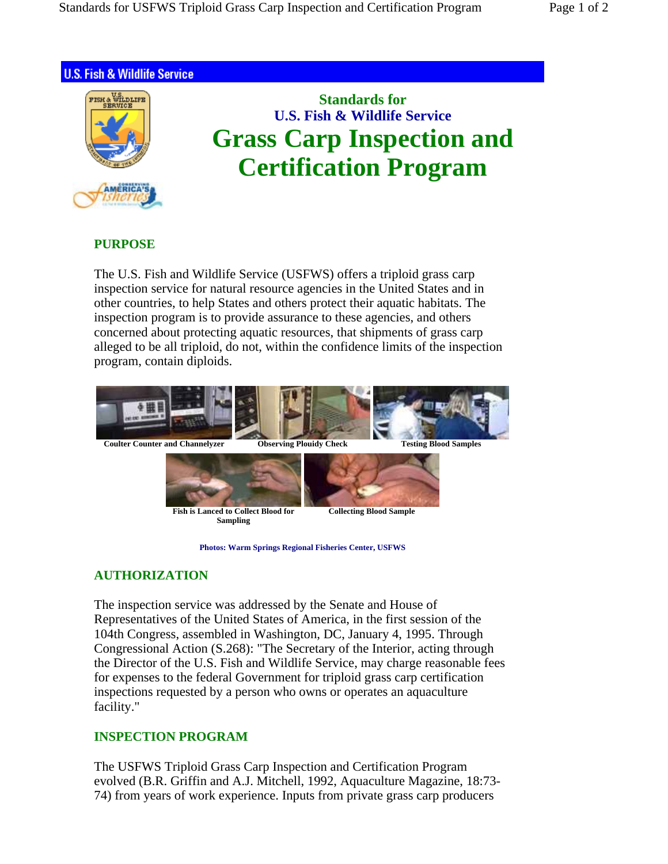



## **PURPOSE**

The U.S. Fish and Wildlife Service (USFWS) offers a triploid grass carp inspection service for natural resource agencies in the United States and in other countries, to help States and others protect their aquatic habitats. The inspection program is to provide assurance to these agencies, and others concerned about protecting aquatic resources, that shipments of grass carp alleged to be all triploid, do not, within the confidence limits of the inspection program, contain diploids.



**Photos: Warm Springs Regional Fisheries Center, USFWS**

## **AUTHORIZATION**

The inspection service was addressed by the Senate and House of Representatives of the United States of America, in the first session of the 104th Congress, assembled in Washington, DC, January 4, 1995. Through Congressional Action (S.268): "The Secretary of the Interior, acting through the Director of the U.S. Fish and Wildlife Service, may charge reasonable fees for expenses to the federal Government for triploid grass carp certification inspections requested by a person who owns or operates an aquaculture facility."

## **INSPECTION PROGRAM**

The USFWS Triploid Grass Carp Inspection and Certification Program evolved (B.R. Griffin and A.J. Mitchell, 1992, Aquaculture Magazine, 18:73- 74) from years of work experience. Inputs from private grass carp producers